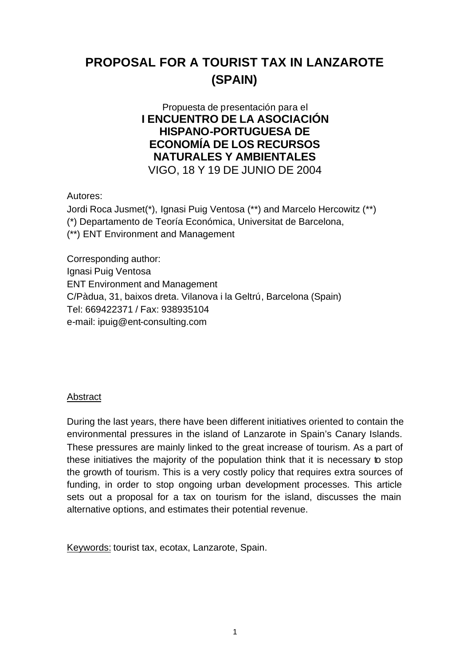# **PROPOSAL FOR A TOURIST TAX IN LANZAROTE (SPAIN)**

# Propuesta de presentación para el **I ENCUENTRO DE LA ASOCIACIÓN HISPANO-PORTUGUESA DE ECONOMÍA DE LOS RECURSOS NATURALES Y AMBIENTALES** VIGO, 18 Y 19 DE JUNIO DE 2004

Autores:

Jordi Roca Jusmet(\*), Ignasi Puig Ventosa (\*\*) and Marcelo Hercowitz (\*\*) (\*) Departamento de Teoría Económica, Universitat de Barcelona, (\*\*) ENT Environment and Management

Corresponding author: Ignasi Puig Ventosa ENT Environment and Management C/Pàdua, 31, baixos dreta. Vilanova i la Geltrú, Barcelona (Spain) Tel: 669422371 / Fax: 938935104 e-mail: ipuig@ent-consulting.com

#### Abstract

During the last years, there have been different initiatives oriented to contain the environmental pressures in the island of Lanzarote in Spain's Canary Islands. These pressures are mainly linked to the great increase of tourism. As a part of these initiatives the majority of the population think that it is necessary to stop the growth of tourism. This is a very costly policy that requires extra sources of funding, in order to stop ongoing urban development processes. This article sets out a proposal for a tax on tourism for the island, discusses the main alternative options, and estimates their potential revenue.

Keywords: tourist tax, ecotax, Lanzarote, Spain.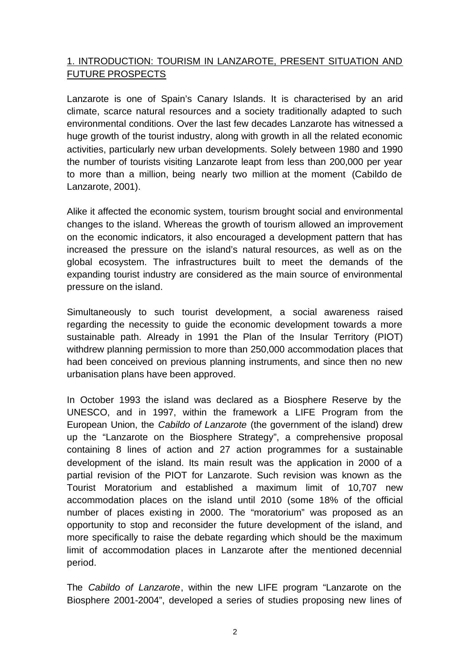# 1. INTRODUCTION: TOURISM IN LANZAROTE, PRESENT SITUATION AND FUTURE PROSPECTS

Lanzarote is one of Spain's Canary Islands. It is characterised by an arid climate, scarce natural resources and a society traditionally adapted to such environmental conditions. Over the last few decades Lanzarote has witnessed a huge growth of the tourist industry, along with growth in all the related economic activities, particularly new urban developments. Solely between 1980 and 1990 the number of tourists visiting Lanzarote leapt from less than 200,000 per year to more than a million, being nearly two million at the moment (Cabildo de Lanzarote, 2001).

Alike it affected the economic system, tourism brought social and environmental changes to the island. Whereas the growth of tourism allowed an improvement on the economic indicators, it also encouraged a development pattern that has increased the pressure on the island's natural resources, as well as on the global ecosystem. The infrastructures built to meet the demands of the expanding tourist industry are considered as the main source of environmental pressure on the island.

Simultaneously to such tourist development, a social awareness raised regarding the necessity to guide the economic development towards a more sustainable path. Already in 1991 the Plan of the Insular Territory (PIOT) withdrew planning permission to more than 250,000 accommodation places that had been conceived on previous planning instruments, and since then no new urbanisation plans have been approved.

In October 1993 the island was declared as a Biosphere Reserve by the UNESCO, and in 1997, within the framework a LIFE Program from the European Union, the *Cabildo of Lanzarote* (the government of the island) drew up the "Lanzarote on the Biosphere Strategy", a comprehensive proposal containing 8 lines of action and 27 action programmes for a sustainable development of the island. Its main result was the application in 2000 of a partial revision of the PIOT for Lanzarote. Such revision was known as the Tourist Moratorium and established a maximum limit of 10,707 new accommodation places on the island until 2010 (some 18% of the official number of places existing in 2000. The "moratorium" was proposed as an opportunity to stop and reconsider the future development of the island, and more specifically to raise the debate regarding which should be the maximum limit of accommodation places in Lanzarote after the mentioned decennial period.

The *Cabildo of Lanzarote*, within the new LIFE program "Lanzarote on the Biosphere 2001-2004", developed a series of studies proposing new lines of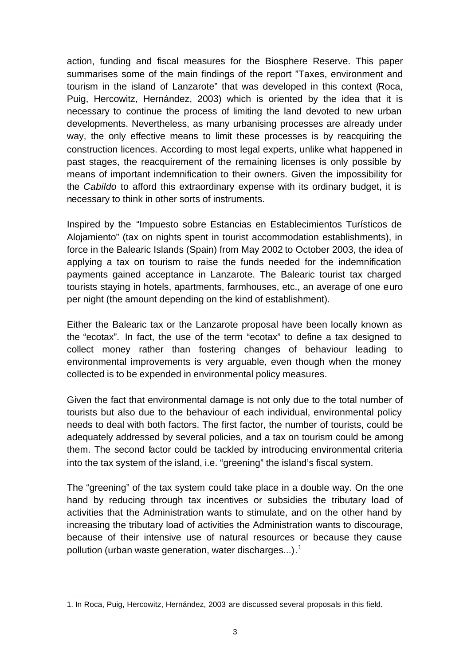action, funding and fiscal measures for the Biosphere Reserve. This paper summarises some of the main findings of the report "Taxes, environment and tourism in the island of Lanzarote" that was developed in this context (Roca, Puig, Hercowitz, Hernández, 2003) which is oriented by the idea that it is necessary to continue the process of limiting the land devoted to new urban developments. Nevertheless, as many urbanising processes are already under way, the only effective means to limit these processes is by reacquiring the construction licences. According to most legal experts, unlike what happened in past stages, the reacquirement of the remaining licenses is only possible by means of important indemnification to their owners. Given the impossibility for the *Cabildo* to afford this extraordinary expense with its ordinary budget, it is necessary to think in other sorts of instruments.

Inspired by the "Impuesto sobre Estancias en Establecimientos Turísticos de Alojamiento" (tax on nights spent in tourist accommodation establishments), in force in the Balearic Islands (Spain) from May 2002 to October 2003, the idea of applying a tax on tourism to raise the funds needed for the indemnification payments gained acceptance in Lanzarote. The Balearic tourist tax charged tourists staying in hotels, apartments, farmhouses, etc., an average of one euro per night (the amount depending on the kind of establishment).

Either the Balearic tax or the Lanzarote proposal have been locally known as the "ecotax". In fact, the use of the term "ecotax" to define a tax designed to collect money rather than fostering changes of behaviour leading to environmental improvements is very arguable, even though when the money collected is to be expended in environmental policy measures.

Given the fact that environmental damage is not only due to the total number of tourists but also due to the behaviour of each individual, environmental policy needs to deal with both factors. The first factor, the number of tourists, could be adequately addressed by several policies, and a tax on tourism could be among them. The second factor could be tackled by introducing environmental criteria into the tax system of the island, i.e. "greening" the island's fiscal system.

The "greening" of the tax system could take place in a double way. On the one hand by reducing through tax incentives or subsidies the tributary load of activities that the Administration wants to stimulate, and on the other hand by increasing the tributary load of activities the Administration wants to discourage, because of their intensive use of natural resources or because they cause pollution (urban waste generation, water discharges...).<sup>1</sup>

l

<sup>1.</sup> In Roca, Puig, Hercowitz, Hernández, 2003 are discussed several proposals in this field.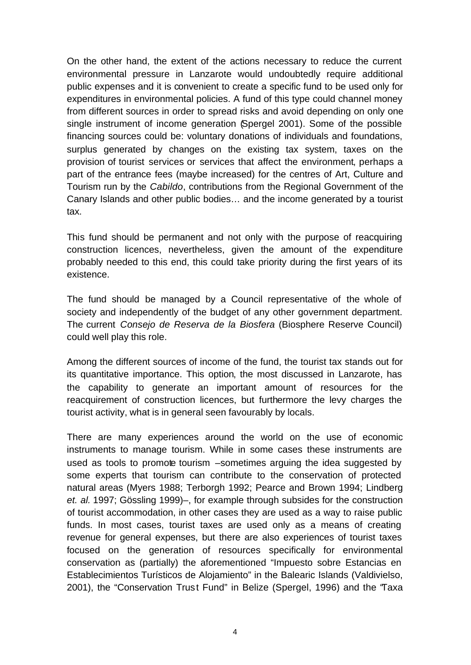On the other hand, the extent of the actions necessary to reduce the current environmental pressure in Lanzarote would undoubtedly require additional public expenses and it is convenient to create a specific fund to be used only for expenditures in environmental policies. A fund of this type could channel money from different sources in order to spread risks and avoid depending on only one single instrument of income generation (Spergel 2001). Some of the possible financing sources could be: voluntary donations of individuals and foundations, surplus generated by changes on the existing tax system, taxes on the provision of tourist services or services that affect the environment, perhaps a part of the entrance fees (maybe increased) for the centres of Art, Culture and Tourism run by the *Cabildo*, contributions from the Regional Government of the Canary Islands and other public bodies… and the income generated by a tourist tax.

This fund should be permanent and not only with the purpose of reacquiring construction licences, nevertheless, given the amount of the expenditure probably needed to this end, this could take priority during the first years of its existence.

The fund should be managed by a Council representative of the whole of society and independently of the budget of any other government department. The current *Consejo de Reserva de la Biosfera* (Biosphere Reserve Council) could well play this role.

Among the different sources of income of the fund, the tourist tax stands out for its quantitative importance. This option, the most discussed in Lanzarote, has the capability to generate an important amount of resources for the reacquirement of construction licences, but furthermore the levy charges the tourist activity, what is in general seen favourably by locals.

There are many experiences around the world on the use of economic instruments to manage tourism. While in some cases these instruments are used as tools to promote tourism –sometimes arguing the idea suggested by some experts that tourism can contribute to the conservation of protected natural areas (Myers 1988; Terborgh 1992; Pearce and Brown 1994; Lindberg *et. al.* 1997; Gössling 1999)–, for example through subsides for the construction of tourist accommodation, in other cases they are used as a way to raise public funds. In most cases, tourist taxes are used only as a means of creating revenue for general expenses, but there are also experiences of tourist taxes focused on the generation of resources specifically for environmental conservation as (partially) the aforementioned "Impuesto sobre Estancias en Establecimientos Turísticos de Alojamiento" in the Balearic Islands (Valdivielso, 2001), the "Conservation Trust Fund" in Belize (Spergel, 1996) and the "Taxa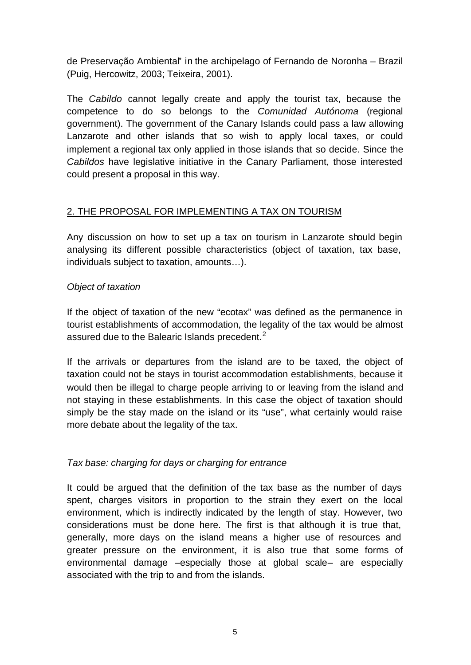de Preservação Ambiental" in the archipelago of Fernando de Noronha – Brazil (Puig, Hercowitz, 2003; Teixeira, 2001).

The *Cabildo* cannot legally create and apply the tourist tax, because the competence to do so belongs to the *Comunidad Autónoma* (regional government). The government of the Canary Islands could pass a law allowing Lanzarote and other islands that so wish to apply local taxes, or could implement a regional tax only applied in those islands that so decide. Since the *Cabildos* have legislative initiative in the Canary Parliament, those interested could present a proposal in this way.

## 2. THE PROPOSAL FOR IMPLEMENTING A TAX ON TOURISM

Any discussion on how to set up a tax on tourism in Lanzarote should begin analysing its different possible characteristics (object of taxation, tax base, individuals subject to taxation, amounts…).

#### *Object of taxation*

If the object of taxation of the new "ecotax" was defined as the permanence in tourist establishments of accommodation, the legality of the tax would be almost assured due to the Balearic Islands precedent.<sup>2</sup>

If the arrivals or departures from the island are to be taxed, the object of taxation could not be stays in tourist accommodation establishments, because it would then be illegal to charge people arriving to or leaving from the island and not staying in these establishments. In this case the object of taxation should simply be the stay made on the island or its "use", what certainly would raise more debate about the legality of the tax.

# *Tax base: charging for days or charging for entrance*

It could be argued that the definition of the tax base as the number of days spent, charges visitors in proportion to the strain they exert on the local environment, which is indirectly indicated by the length of stay. However, two considerations must be done here. The first is that although it is true that, generally, more days on the island means a higher use of resources and greater pressure on the environment, it is also true that some forms of environmental damage –especially those at global scale– are especially associated with the trip to and from the islands.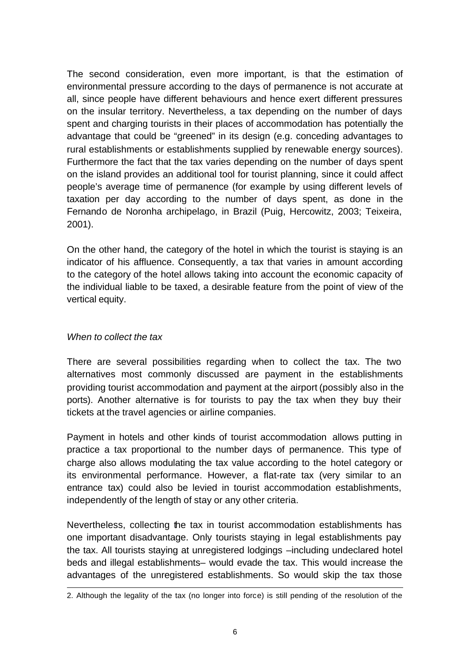The second consideration, even more important, is that the estimation of environmental pressure according to the days of permanence is not accurate at all, since people have different behaviours and hence exert different pressures on the insular territory. Nevertheless, a tax depending on the number of days spent and charging tourists in their places of accommodation has potentially the advantage that could be "greened" in its design (e.g. conceding advantages to rural establishments or establishments supplied by renewable energy sources). Furthermore the fact that the tax varies depending on the number of days spent on the island provides an additional tool for tourist planning, since it could affect people's average time of permanence (for example by using different levels of taxation per day according to the number of days spent, as done in the Fernando de Noronha archipelago, in Brazil (Puig, Hercowitz, 2003; Teixeira, 2001).

On the other hand, the category of the hotel in which the tourist is staying is an indicator of his affluence. Consequently, a tax that varies in amount according to the category of the hotel allows taking into account the economic capacity of the individual liable to be taxed, a desirable feature from the point of view of the vertical equity.

#### *When to collect the tax*

l

There are several possibilities regarding when to collect the tax. The two alternatives most commonly discussed are payment in the establishments providing tourist accommodation and payment at the airport (possibly also in the ports). Another alternative is for tourists to pay the tax when they buy their tickets at the travel agencies or airline companies.

Payment in hotels and other kinds of tourist accommodation allows putting in practice a tax proportional to the number days of permanence. This type of charge also allows modulating the tax value according to the hotel category or its environmental performance. However, a flat-rate tax (very similar to an entrance tax) could also be levied in tourist accommodation establishments, independently of the length of stay or any other criteria.

Nevertheless, collecting the tax in tourist accommodation establishments has one important disadvantage. Only tourists staying in legal establishments pay the tax. All tourists staying at unregistered lodgings –including undeclared hotel beds and illegal establishments– would evade the tax. This would increase the advantages of the unregistered establishments. So would skip the tax those

<sup>2.</sup> Although the legality of the tax (no longer into force) is still pending of the resolution of the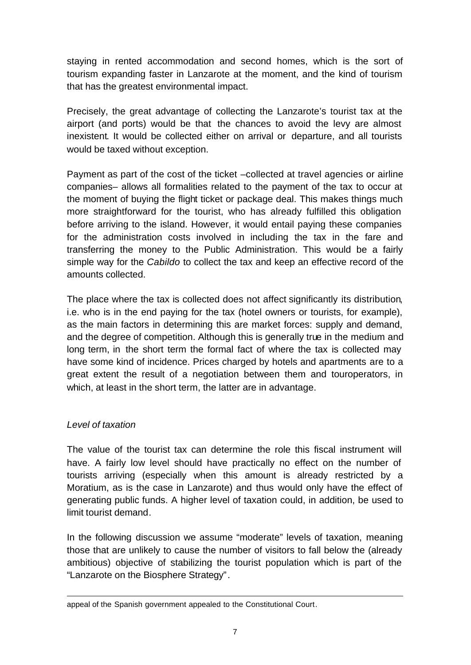staying in rented accommodation and second homes, which is the sort of tourism expanding faster in Lanzarote at the moment, and the kind of tourism that has the greatest environmental impact.

Precisely, the great advantage of collecting the Lanzarote's tourist tax at the airport (and ports) would be that the chances to avoid the levy are almost inexistent. It would be collected either on arrival or departure, and all tourists would be taxed without exception.

Payment as part of the cost of the ticket –collected at travel agencies or airline companies– allows all formalities related to the payment of the tax to occur at the moment of buying the flight ticket or package deal. This makes things much more straightforward for the tourist, who has already fulfilled this obligation before arriving to the island. However, it would entail paying these companies for the administration costs involved in including the tax in the fare and transferring the money to the Public Administration. This would be a fairly simple way for the *Cabildo* to collect the tax and keep an effective record of the amounts collected.

The place where the tax is collected does not affect significantly its distribution, i.e. who is in the end paying for the tax (hotel owners or tourists, for example), as the main factors in determining this are market forces: supply and demand, and the degree of competition. Although this is generally true in the medium and long term, in the short term the formal fact of where the tax is collected may have some kind of incidence. Prices charged by hotels and apartments are to a great extent the result of a negotiation between them and touroperators, in which, at least in the short term, the latter are in advantage.

#### *Level of taxation*

l

The value of the tourist tax can determine the role this fiscal instrument will have. A fairly low level should have practically no effect on the number of tourists arriving (especially when this amount is already restricted by a Moratium, as is the case in Lanzarote) and thus would only have the effect of generating public funds. A higher level of taxation could, in addition, be used to limit tourist demand.

In the following discussion we assume "moderate" levels of taxation, meaning those that are unlikely to cause the number of visitors to fall below the (already ambitious) objective of stabilizing the tourist population which is part of the "Lanzarote on the Biosphere Strategy".

appeal of the Spanish government appealed to the Constitutional Court.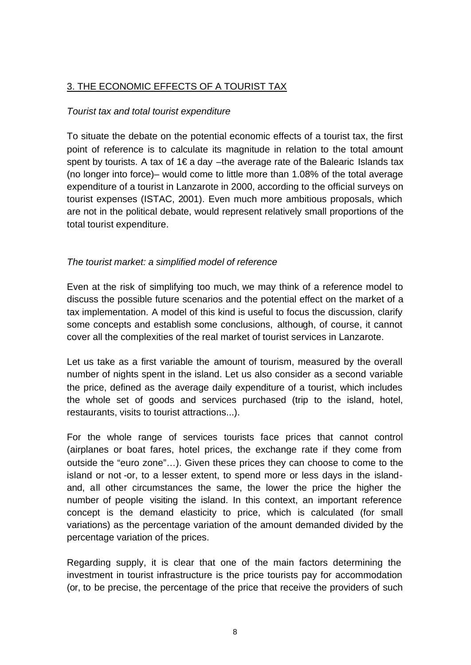# 3. THE ECONOMIC EFFECTS OF A TOURIST TAX

#### *Tourist tax and total tourist expenditure*

To situate the debate on the potential economic effects of a tourist tax, the first point of reference is to calculate its magnitude in relation to the total amount spent by tourists. A tax of 1€ a day –the average rate of the Balearic Islands tax (no longer into force)– would come to little more than 1.08% of the total average expenditure of a tourist in Lanzarote in 2000, according to the official surveys on tourist expenses (ISTAC, 2001). Even much more ambitious proposals, which are not in the political debate, would represent relatively small proportions of the total tourist expenditure.

#### *The tourist market: a simplified model of reference*

Even at the risk of simplifying too much, we may think of a reference model to discuss the possible future scenarios and the potential effect on the market of a tax implementation. A model of this kind is useful to focus the discussion, clarify some concepts and establish some conclusions, although, of course, it cannot cover all the complexities of the real market of tourist services in Lanzarote.

Let us take as a first variable the amount of tourism, measured by the overall number of nights spent in the island. Let us also consider as a second variable the price, defined as the average daily expenditure of a tourist, which includes the whole set of goods and services purchased (trip to the island, hotel, restaurants, visits to tourist attractions...).

For the whole range of services tourists face prices that cannot control (airplanes or boat fares, hotel prices, the exchange rate if they come from outside the "euro zone"…). Given these prices they can choose to come to the island or not -or, to a lesser extent, to spend more or less days in the islandand, all other circumstances the same, the lower the price the higher the number of people visiting the island. In this context, an important reference concept is the demand elasticity to price, which is calculated (for small variations) as the percentage variation of the amount demanded divided by the percentage variation of the prices.

Regarding supply, it is clear that one of the main factors determining the investment in tourist infrastructure is the price tourists pay for accommodation (or, to be precise, the percentage of the price that receive the providers of such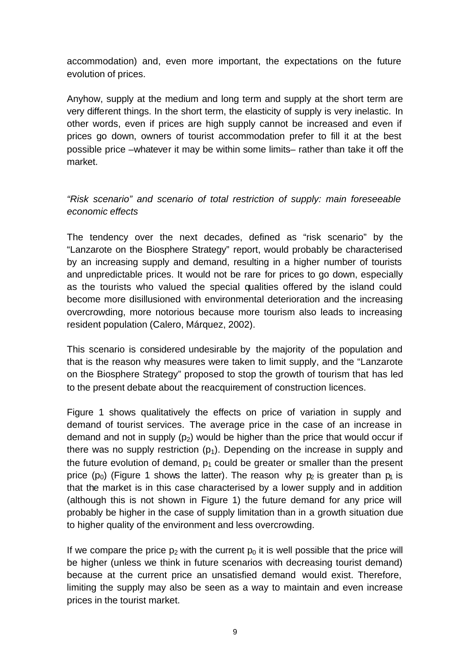accommodation) and, even more important, the expectations on the future evolution of prices.

Anyhow, supply at the medium and long term and supply at the short term are very different things. In the short term, the elasticity of supply is very inelastic. In other words, even if prices are high supply cannot be increased and even if prices go down, owners of tourist accommodation prefer to fill it at the best possible price –whatever it may be within some limits– rather than take it off the market.

*"Risk scenario" and scenario of total restriction of supply: main foreseeable economic effects*

The tendency over the next decades, defined as "risk scenario" by the "Lanzarote on the Biosphere Strategy" report, would probably be characterised by an increasing supply and demand, resulting in a higher number of tourists and unpredictable prices. It would not be rare for prices to go down, especially as the tourists who valued the special qualities offered by the island could become more disillusioned with environmental deterioration and the increasing overcrowding, more notorious because more tourism also leads to increasing resident population (Calero, Márquez, 2002).

This scenario is considered undesirable by the majority of the population and that is the reason why measures were taken to limit supply, and the "Lanzarote on the Biosphere Strategy" proposed to stop the growth of tourism that has led to the present debate about the reacquirement of construction licences.

Figure 1 shows qualitatively the effects on price of variation in supply and demand of tourist services. The average price in the case of an increase in demand and not in supply  $(p_2)$  would be higher than the price that would occur if there was no supply restriction  $(p_1)$ . Depending on the increase in supply and the future evolution of demand,  $p_1$  could be greater or smaller than the present price (p<sub>0</sub>) (Figure 1 shows the latter). The reason why p<sub>2</sub> is greater than p<sub>1</sub> is that the market is in this case characterised by a lower supply and in addition (although this is not shown in Figure 1) the future demand for any price will probably be higher in the case of supply limitation than in a growth situation due to higher quality of the environment and less overcrowding.

If we compare the price  $p_2$  with the current  $p_0$  it is well possible that the price will be higher (unless we think in future scenarios with decreasing tourist demand) because at the current price an unsatisfied demand would exist. Therefore, limiting the supply may also be seen as a way to maintain and even increase prices in the tourist market.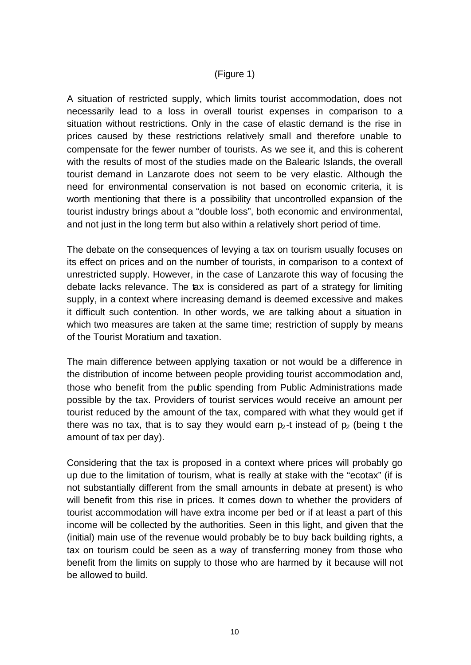#### (Figure 1)

A situation of restricted supply, which limits tourist accommodation, does not necessarily lead to a loss in overall tourist expenses in comparison to a situation without restrictions. Only in the case of elastic demand is the rise in prices caused by these restrictions relatively small and therefore unable to compensate for the fewer number of tourists. As we see it, and this is coherent with the results of most of the studies made on the Balearic Islands, the overall tourist demand in Lanzarote does not seem to be very elastic. Although the need for environmental conservation is not based on economic criteria, it is worth mentioning that there is a possibility that uncontrolled expansion of the tourist industry brings about a "double loss", both economic and environmental, and not just in the long term but also within a relatively short period of time.

The debate on the consequences of levying a tax on tourism usually focuses on its effect on prices and on the number of tourists, in comparison to a context of unrestricted supply. However, in the case of Lanzarote this way of focusing the debate lacks relevance. The tax is considered as part of a strategy for limiting supply, in a context where increasing demand is deemed excessive and makes it difficult such contention. In other words, we are talking about a situation in which two measures are taken at the same time; restriction of supply by means of the Tourist Moratium and taxation.

The main difference between applying taxation or not would be a difference in the distribution of income between people providing tourist accommodation and, those who benefit from the public spending from Public Administrations made possible by the tax. Providers of tourist services would receive an amount per tourist reduced by the amount of the tax, compared with what they would get if there was no tax, that is to say they would earn  $p_2$ -t instead of  $p_2$  (being t the amount of tax per day).

Considering that the tax is proposed in a context where prices will probably go up due to the limitation of tourism, what is really at stake with the "ecotax" (if is not substantially different from the small amounts in debate at present) is who will benefit from this rise in prices. It comes down to whether the providers of tourist accommodation will have extra income per bed or if at least a part of this income will be collected by the authorities. Seen in this light, and given that the (initial) main use of the revenue would probably be to buy back building rights, a tax on tourism could be seen as a way of transferring money from those who benefit from the limits on supply to those who are harmed by it because will not be allowed to build.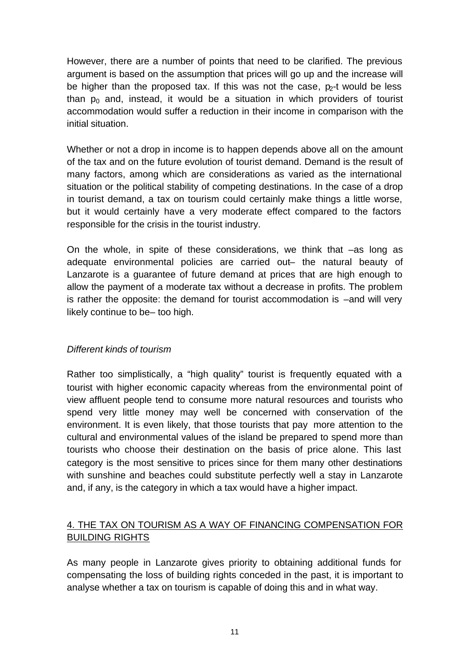However, there are a number of points that need to be clarified. The previous argument is based on the assumption that prices will go up and the increase will be higher than the proposed tax. If this was not the case,  $p<sub>2</sub>$ -t would be less than  $p_0$  and, instead, it would be a situation in which providers of tourist accommodation would suffer a reduction in their income in comparison with the initial situation.

Whether or not a drop in income is to happen depends above all on the amount of the tax and on the future evolution of tourist demand. Demand is the result of many factors, among which are considerations as varied as the international situation or the political stability of competing destinations. In the case of a drop in tourist demand, a tax on tourism could certainly make things a little worse, but it would certainly have a very moderate effect compared to the factors responsible for the crisis in the tourist industry.

On the whole, in spite of these considerations, we think that –as long as adequate environmental policies are carried out– the natural beauty of Lanzarote is a guarantee of future demand at prices that are high enough to allow the payment of a moderate tax without a decrease in profits. The problem is rather the opposite: the demand for tourist accommodation is –and will very likely continue to be– too high.

#### *Different kinds of tourism*

Rather too simplistically, a "high quality" tourist is frequently equated with a tourist with higher economic capacity whereas from the environmental point of view affluent people tend to consume more natural resources and tourists who spend very little money may well be concerned with conservation of the environment. It is even likely, that those tourists that pay more attention to the cultural and environmental values of the island be prepared to spend more than tourists who choose their destination on the basis of price alone. This last category is the most sensitive to prices since for them many other destinations with sunshine and beaches could substitute perfectly well a stay in Lanzarote and, if any, is the category in which a tax would have a higher impact.

## 4. THE TAX ON TOURISM AS A WAY OF FINANCING COMPENSATION FOR BUILDING RIGHTS

As many people in Lanzarote gives priority to obtaining additional funds for compensating the loss of building rights conceded in the past, it is important to analyse whether a tax on tourism is capable of doing this and in what way.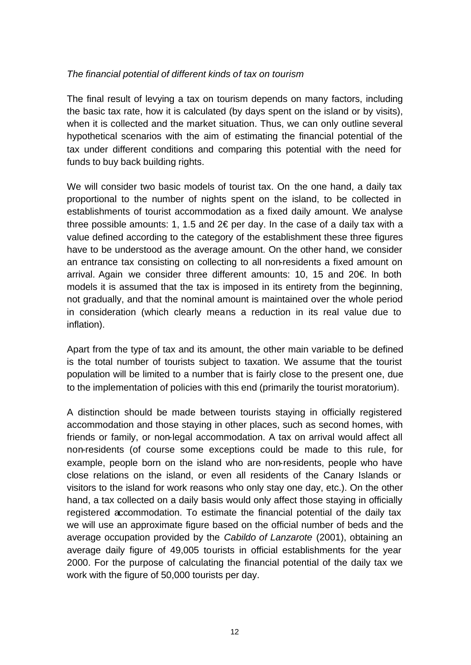#### *The financial potential of different kinds of tax on tourism*

The final result of levying a tax on tourism depends on many factors, including the basic tax rate, how it is calculated (by days spent on the island or by visits), when it is collected and the market situation. Thus, we can only outline several hypothetical scenarios with the aim of estimating the financial potential of the tax under different conditions and comparing this potential with the need for funds to buy back building rights.

We will consider two basic models of tourist tax. On the one hand, a daily tax proportional to the number of nights spent on the island, to be collected in establishments of tourist accommodation as a fixed daily amount. We analyse three possible amounts: 1, 1.5 and 2€ per day. In the case of a daily tax with a value defined according to the category of the establishment these three figures have to be understood as the average amount. On the other hand, we consider an entrance tax consisting on collecting to all non-residents a fixed amount on arrival. Again we consider three different amounts: 10, 15 and 20€. In both models it is assumed that the tax is imposed in its entirety from the beginning, not gradually, and that the nominal amount is maintained over the whole period in consideration (which clearly means a reduction in its real value due to inflation).

Apart from the type of tax and its amount, the other main variable to be defined is the total number of tourists subject to taxation. We assume that the tourist population will be limited to a number that is fairly close to the present one, due to the implementation of policies with this end (primarily the tourist moratorium).

A distinction should be made between tourists staying in officially registered accommodation and those staying in other places, such as second homes, with friends or family, or non-legal accommodation. A tax on arrival would affect all non-residents (of course some exceptions could be made to this rule, for example, people born on the island who are non-residents, people who have close relations on the island, or even all residents of the Canary Islands or visitors to the island for work reasons who only stay one day, etc.). On the other hand, a tax collected on a daily basis would only affect those staying in officially registered accommodation. To estimate the financial potential of the daily tax we will use an approximate figure based on the official number of beds and the average occupation provided by the *Cabildo of Lanzarote* (2001), obtaining an average daily figure of 49,005 tourists in official establishments for the year 2000. For the purpose of calculating the financial potential of the daily tax we work with the figure of 50,000 tourists per day.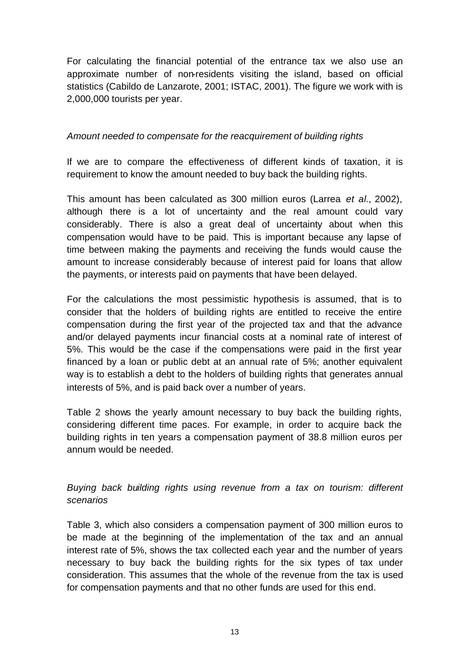For calculating the financial potential of the entrance tax we also use an approximate number of non-residents visiting the island, based on official statistics (Cabildo de Lanzarote, 2001; ISTAC, 2001). The figure we work with is 2,000,000 tourists per year.

#### *Amount needed to compensate for the reacquirement of building rights*

If we are to compare the effectiveness of different kinds of taxation, it is requirement to know the amount needed to buy back the building rights.

This amount has been calculated as 300 million euros (Larrea *et al.*, 2002), although there is a lot of uncertainty and the real amount could vary considerably. There is also a great deal of uncertainty about when this compensation would have to be paid. This is important because any lapse of time between making the payments and receiving the funds would cause the amount to increase considerably because of interest paid for loans that allow the payments, or interests paid on payments that have been delayed.

For the calculations the most pessimistic hypothesis is assumed, that is to consider that the holders of building rights are entitled to receive the entire compensation during the first year of the projected tax and that the advance and/or delayed payments incur financial costs at a nominal rate of interest of 5%. This would be the case if the compensations were paid in the first year financed by a loan or public debt at an annual rate of 5%; another equivalent way is to establish a debt to the holders of building rights that generates annual interests of 5%, and is paid back over a number of years.

Table 2 shows the yearly amount necessary to buy back the building rights, considering different time paces. For example, in order to acquire back the building rights in ten years a compensation payment of 38.8 million euros per annum would be needed.

## *Buying back building rights using revenue from a tax on tourism: different scenarios*

Table 3, which also considers a compensation payment of 300 million euros to be made at the beginning of the implementation of the tax and an annual interest rate of 5%, shows the tax collected each year and the number of years necessary to buy back the building rights for the six types of tax under consideration. This assumes that the whole of the revenue from the tax is used for compensation payments and that no other funds are used for this end.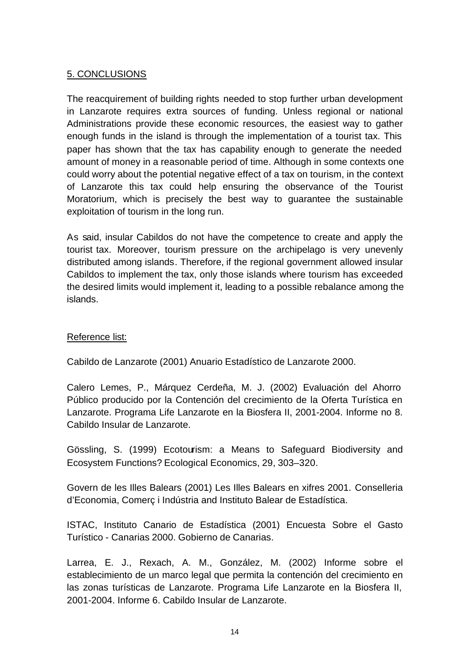#### 5. CONCLUSIONS

The reacquirement of building rights needed to stop further urban development in Lanzarote requires extra sources of funding. Unless regional or national Administrations provide these economic resources, the easiest way to gather enough funds in the island is through the implementation of a tourist tax. This paper has shown that the tax has capability enough to generate the needed amount of money in a reasonable period of time. Although in some contexts one could worry about the potential negative effect of a tax on tourism, in the context of Lanzarote this tax could help ensuring the observance of the Tourist Moratorium, which is precisely the best way to guarantee the sustainable exploitation of tourism in the long run.

As said, insular Cabildos do not have the competence to create and apply the tourist tax. Moreover, tourism pressure on the archipelago is very unevenly distributed among islands. Therefore, if the regional government allowed insular Cabildos to implement the tax, only those islands where tourism has exceeded the desired limits would implement it, leading to a possible rebalance among the islands.

#### Reference list:

Cabildo de Lanzarote (2001) Anuario Estadístico de Lanzarote 2000.

Calero Lemes, P., Márquez Cerdeña, M. J. (2002) Evaluación del Ahorro Público producido por la Contención del crecimiento de la Oferta Turística en Lanzarote. Programa Life Lanzarote en la Biosfera II, 2001-2004. Informe no 8. Cabildo Insular de Lanzarote.

Gössling, S. (1999) Ecotourism: a Means to Safeguard Biodiversity and Ecosystem Functions? Ecological Economics, 29, 303–320.

Govern de les Illes Balears (2001) Les Illes Balears en xifres 2001. Conselleria d'Economia, Comerç i Indústria and Instituto Balear de Estadística.

ISTAC, Instituto Canario de Estadística (2001) Encuesta Sobre el Gasto Turístico - Canarias 2000. Gobierno de Canarias.

Larrea, E. J., Rexach, A. M., González, M. (2002) Informe sobre el establecimiento de un marco legal que permita la contención del crecimiento en las zonas turísticas de Lanzarote. Programa Life Lanzarote en la Biosfera II, 2001-2004. Informe 6. Cabildo Insular de Lanzarote.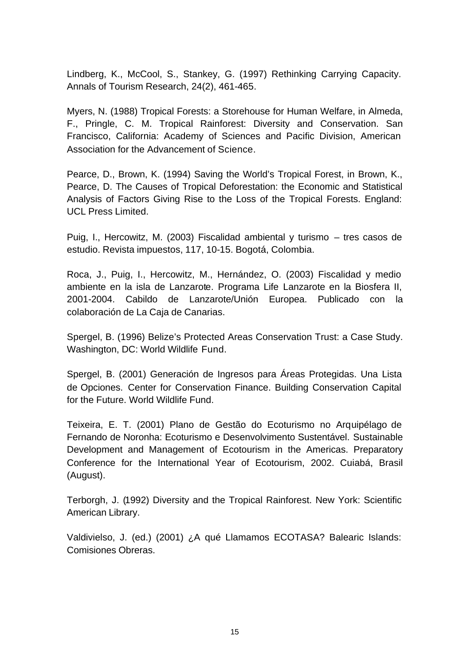Lindberg, K., McCool, S., Stankey, G. (1997) Rethinking Carrying Capacity. Annals of Tourism Research, 24(2), 461-465.

Myers, N. (1988) Tropical Forests: a Storehouse for Human Welfare, in Almeda, F., Pringle, C. M. Tropical Rainforest: Diversity and Conservation. San Francisco, California: Academy of Sciences and Pacific Division, American Association for the Advancement of Science.

Pearce, D., Brown, K. (1994) Saving the World's Tropical Forest, in Brown, K., Pearce, D. The Causes of Tropical Deforestation: the Economic and Statistical Analysis of Factors Giving Rise to the Loss of the Tropical Forests. England: UCL Press Limited.

Puig, I., Hercowitz, M. (2003) Fiscalidad ambiental y turismo – tres casos de estudio. Revista impuestos, 117, 10-15. Bogotá, Colombia.

Roca, J., Puig, I., Hercowitz, M., Hernández, O. (2003) Fiscalidad y medio ambiente en la isla de Lanzarote. Programa Life Lanzarote en la Biosfera II, 2001-2004. Cabildo de Lanzarote/Unión Europea. Publicado con la colaboración de La Caja de Canarias.

Spergel, B. (1996) Belize's Protected Areas Conservation Trust: a Case Study. Washington, DC: World Wildlife Fund.

Spergel, B. (2001) Generación de Ingresos para Áreas Protegidas. Una Lista de Opciones. Center for Conservation Finance. Building Conservation Capital for the Future. World Wildlife Fund.

Teixeira, E. T. (2001) Plano de Gestão do Ecoturismo no Arquipélago de Fernando de Noronha: Ecoturismo e Desenvolvimento Sustentável. Sustainable Development and Management of Ecotourism in the Americas. Preparatory Conference for the International Year of Ecotourism, 2002. Cuiabá, Brasil (August).

Terborgh, J. (1992) Diversity and the Tropical Rainforest. New York: Scientific American Library.

Valdivielso, J. (ed.) (2001) ¿A qué Llamamos ECOTASA? Balearic Islands: Comisiones Obreras.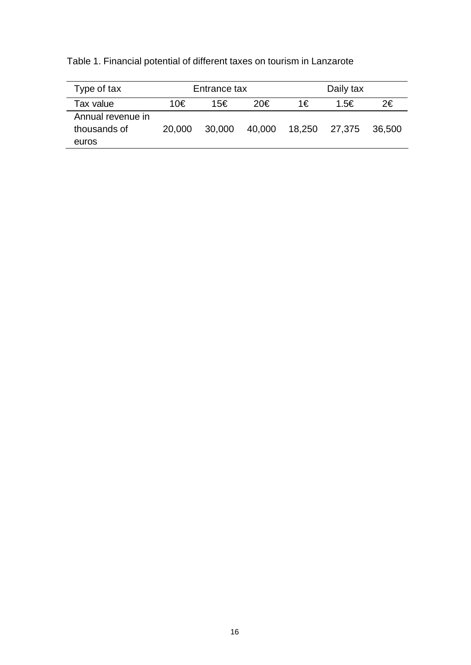Table 1. Financial potential of different taxes on tourism in Lanzarote

| Type of tax                                | Entrance tax |        |        | Daily tax |        |        |
|--------------------------------------------|--------------|--------|--------|-----------|--------|--------|
| Tax value                                  | 10€          | 15€    | 20€    | 1€        | 1.5€   | 2€     |
| Annual revenue in<br>thousands of<br>euros | 20,000       | 30,000 | 40,000 | 18,250    | 27,375 | 36.500 |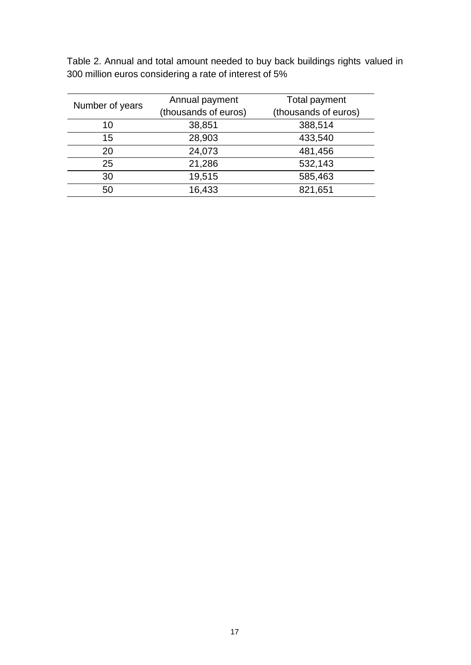| Number of years | Annual payment       | Total payment        |  |  |
|-----------------|----------------------|----------------------|--|--|
|                 | (thousands of euros) | (thousands of euros) |  |  |
| 10              | 38,851               | 388,514              |  |  |
| 15              | 28,903               | 433,540              |  |  |
| 20              | 24,073               | 481,456              |  |  |
| 25              | 21,286               | 532,143              |  |  |
| 30              | 19,515               | 585,463              |  |  |
| 50              | 16,433               | 821,651              |  |  |

Table 2. Annual and total amount needed to buy back buildings rights valued in 300 million euros considering a rate of interest of 5%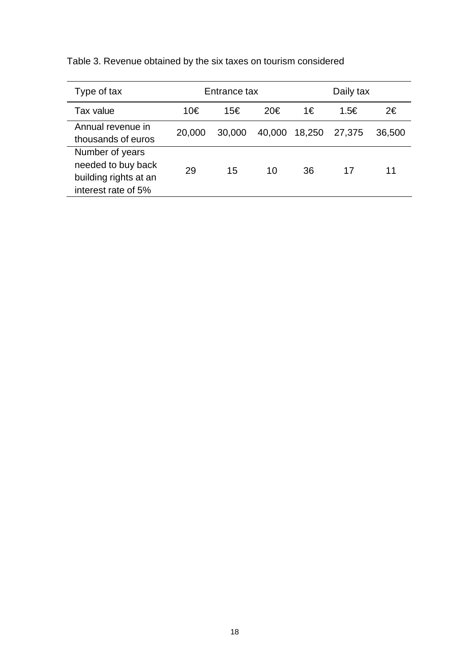| Type of tax                                                                           | Entrance tax |        |        | Daily tax |        |        |
|---------------------------------------------------------------------------------------|--------------|--------|--------|-----------|--------|--------|
| Tax value                                                                             | 10€          | 15€    | 20€    | 1€        | 1.5€   | 2€     |
| Annual revenue in<br>thousands of euros                                               | 20,000       | 30,000 | 40,000 | 18,250    | 27,375 | 36,500 |
| Number of years<br>needed to buy back<br>building rights at an<br>interest rate of 5% | 29           | 15     | 10     | 36        | 17     | 11     |

Table 3. Revenue obtained by the six taxes on tourism considered